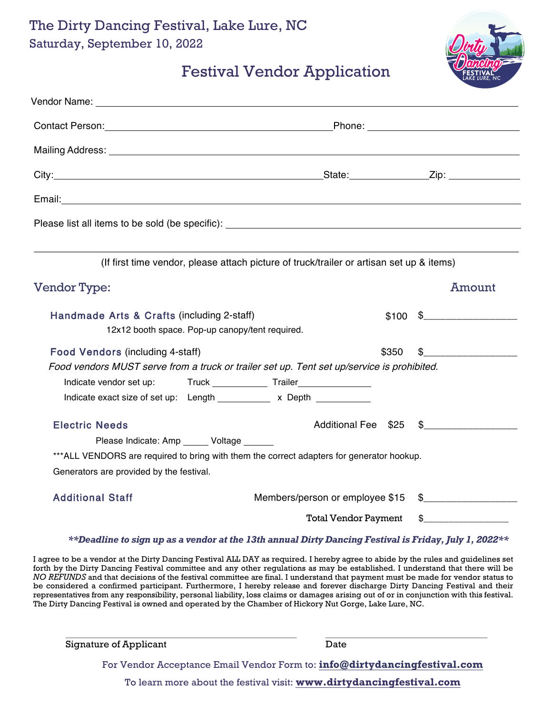The Dirty Dancing Festival, Lake Lure, NC Saturday, September 10, 2022



## Festival Vendor Application

| Email: <u>Communication and Communication and Communication and Communication</u> |                                                                                                       |
|-----------------------------------------------------------------------------------|-------------------------------------------------------------------------------------------------------|
|                                                                                   |                                                                                                       |
|                                                                                   |                                                                                                       |
|                                                                                   | (If first time vendor, please attach picture of truck/trailer or artisan set up & items)              |
| <b>Vendor Type:</b>                                                               | Amount                                                                                                |
| Handmade Arts & Crafts (including 2-staff)                                        | $$100 \t$$                                                                                            |
| 12x12 booth space. Pop-up canopy/tent required.                                   |                                                                                                       |
| <b>Food Vendors (including 4-staff)</b>                                           | \$350<br>\$                                                                                           |
|                                                                                   | Food vendors MUST serve from a truck or trailer set up. Tent set up/service is prohibited.            |
|                                                                                   |                                                                                                       |
| Indicate exact size of set up: Length ___________ x Depth _________               |                                                                                                       |
| <b>Electric Needs</b>                                                             | Additional Fee \$25<br>$\frac{1}{2}$                                                                  |
| Please Indicate: Amp Voltage                                                      |                                                                                                       |
|                                                                                   | *** ALL VENDORS are required to bring with them the correct adapters for generator hookup.            |
| Generators are provided by the festival.                                          |                                                                                                       |
| <b>Additional Staff</b>                                                           | Members/person or employee \$15                                                                       |
|                                                                                   | $\frac{1}{2}$<br><b>Total Vendor Payment</b>                                                          |
|                                                                                   | **Deadline to sign up as a vendor at the 13th annual Dirty Dancing Festival is Friday, July 1, 2022** |

I agree to be a vendor at the Dirty Dancing Festival ALL DAY as required. I hereby agree to abide by the rules and guidelines set forth by the Dirty Dancing Festival committee and any other regulations as may be established. I understand that there will be *NO REFUNDS* and that decisions of the festival committee are final. I understand that payment must be made for vendor status to be considered a confirmed participant. Furthermore, I hereby release and forever discharge Dirty Dancing Festival and their representatives from any responsibility, personal liability, loss claims or damages arising out of or in conjunction with this festival. The Dirty Dancing Festival is owned and operated by the Chamber of Hickory Nut Gorge, Lake Lure, NC.

| <b>Signature of Applicant</b> | Date |
|-------------------------------|------|
|                               |      |

For Vendor Acceptance Email Vendor Form to: **info@dirtydancingfestival.com**

To learn more about the festival visit: **www.dirtydancingfestival.com**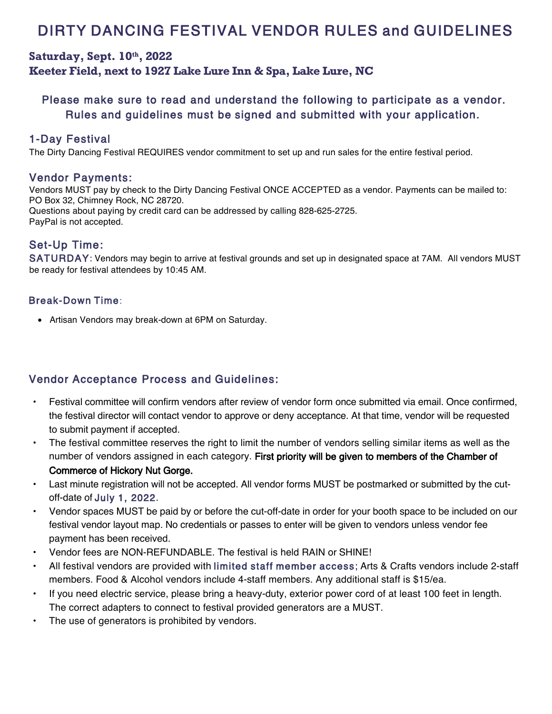# DIRTY DANCING FESTIVAL VENDOR RULES and GUIDELINES

## **Saturday, Sept. 10 th, 2022 Keeter Field, next to 1927 Lake Lure Inn & Spa, Lake Lure, NC**

## Please make sure to read and understand the following to participate as a vendor. Rules and guidelines must be signed and submitted with your application.

#### 1-Day Festival

The Dirty Dancing Festival REQUIRES vendor commitment to set up and run sales for the entire festival period.

#### Vendor Payments:

Vendors MUST pay by check to the Dirty Dancing Festival ONCE ACCEPTED as a vendor. Payments can be mailed to: PO Box 32, Chimney Rock, NC 28720. Questions about paying by credit card can be addressed by calling 828-625-2725. PayPal is not accepted.

### Set-Up Time:

SATURDAY: Vendors may begin to arrive at festival grounds and set up in designated space at 7AM. All vendors MUST be ready for festival attendees by 10:45 AM.

#### Break-Down Time:

• Artisan Vendors may break-down at 6PM on Saturday.

## Vendor Acceptance Process and Guidelines:

- Festival committee will confirm vendors after review of vendor form once submitted via email. Once confirmed, the festival director will contact vendor to approve or deny acceptance. At that time, vendor will be requested to submit payment if accepted.
- The festival committee reserves the right to limit the number of vendors selling similar items as well as the number of vendors assigned in each category. First priority will be given to members of the Chamber of Commerce of Hickory Nut Gorge.
- Last minute registration will not be accepted. All vendor forms MUST be postmarked or submitted by the cutoff-date of July 1, 2022.
- Vendor spaces MUST be paid by or before the cut-off-date in order for your booth space to be included on our festival vendor layout map. No credentials or passes to enter will be given to vendors unless vendor fee payment has been received.
- Vendor fees are NON-REFUNDABLE. The festival is held RAIN or SHINE!
- All festival vendors are provided with limited staff member access; Arts & Crafts vendors include 2-staff members. Food & Alcohol vendors include 4-staff members. Any additional staff is \$15/ea.
- If you need electric service, please bring a heavy-duty, exterior power cord of at least 100 feet in length. The correct adapters to connect to festival provided generators are a MUST.
- The use of generators is prohibited by vendors.